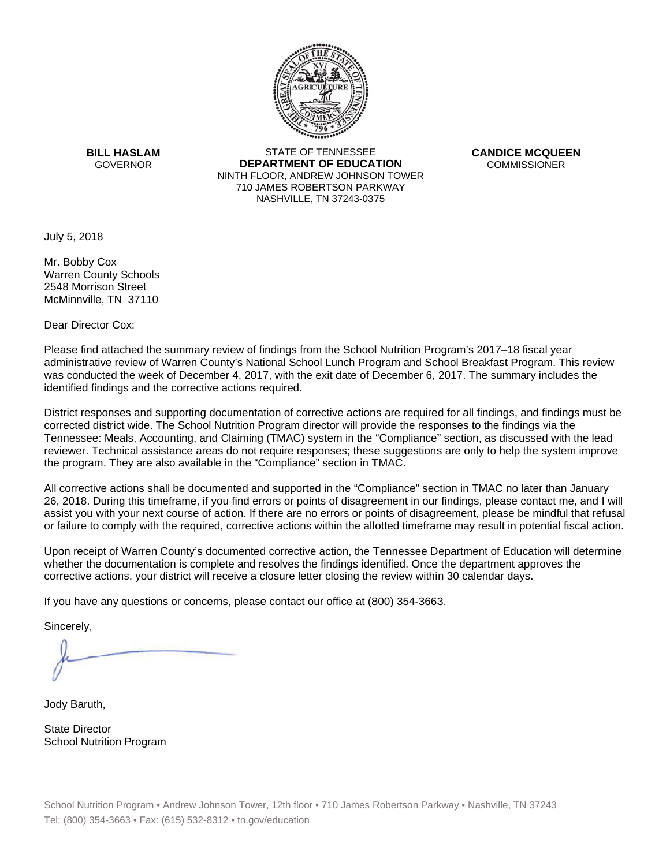

**BILL HASLAM** GOVERNOR **DEI** 

STATE OF TENNESSEE **EPARTMENT OF EDUCATION** NINTH FLOOR, ANDREW JOHNSON TOWER 710 JAMES ROBERTSON PARKWAY NASHVILLE,TN 37243-0375

**CANDICE MCQUEEN** CO OMMISSIONER

July 5, 2018

Mr. Bobby Cox Warren County Schools 2548 Morrison Street McMinnville, TN 37110

Dear Director Cox:

Please find attached the summary review of findings from the School Nutrition Program's 2017–18 fiscal year administrative review of Warren County's National School Lunch Program and School Breakfast Program. This review was conducted the week of December 4, 2017, with the exit date of December 6, 2017. The summary includes the identified findings and the corrective actions required.

Tennessee: Meals, Accounting, and Claiming (TMAC) system in the "Compliance" section, as discussed with the lead District responses and supporting documentation of corrective actions are required for all findings, and findings must be corrected district wide. The School Nutrition Program director will provide the responses to the findings via the reviewer. Technical assistance areas do not require responses; these suggestions are only to help the system improve the program. They are also available in the "Compliance" section in TMAC.

All corrective actions shall be documented and supported in the "Compliance" section in TMAC no later than January 26, 2018. During this timeframe, if you find errors or points of disagreement in our findings, please contact me, and I will assist you with your next course of action. If there are no errors or points of disagreement, please be mindful that refusal or failure to comply with the required, corrective actions within the allotted timeframe may result in potential fiscal action.

Upon receipt of Warren County's documented corrective action, the Tennessee Department of Education will determine whether the documentation is complete and resolves the findings identified. Once the department approves the corrective actions, your district will receive a closure letter closing the review within 30 calendar days.

If you have any questions or concerns, please contact our office at (800) 354-3663.

Sincerely,

Jody Baruth,

State Director School Nutrition Program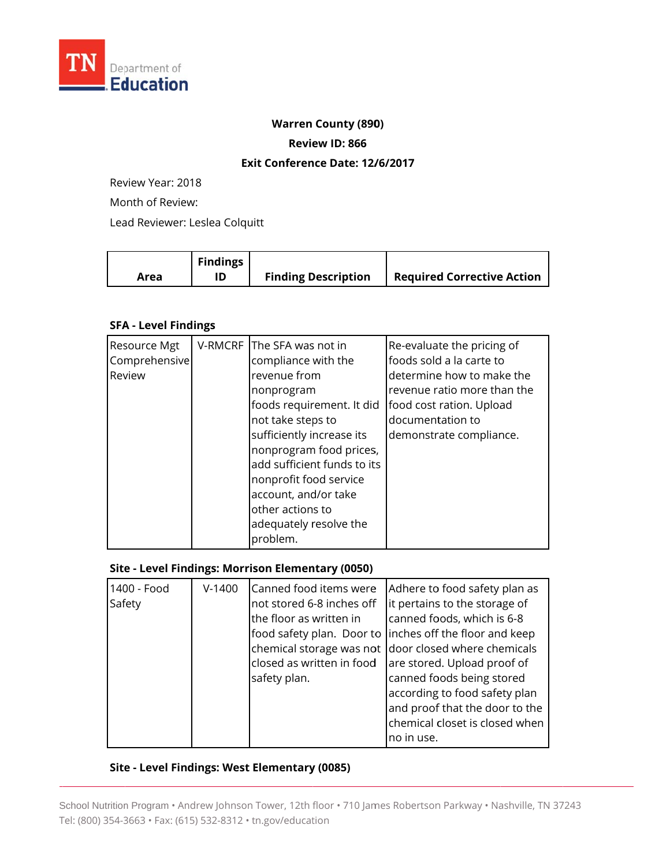

#### **Warren County (890)**

**Review ID: 866**

#### **Exit Conference Date: 12/6/2017**

Review Year: 2018

Month of Review:

Lead Reviewer: Leslea Colquitt

|      | <b>Findings</b> |                            |                                   |
|------|-----------------|----------------------------|-----------------------------------|
| Area |                 | <b>Finding Description</b> | <b>Required Corrective Action</b> |

## **SFA - Level Findings**

| Resource Mgt<br>Comprehensive<br>Review | V-RMCRF The SFA was not in<br>compliance with the<br>revenue from<br>nonprogram<br>foods requirement. It did                                                                                                         | Re-evaluate the pricing of<br>foods sold a la carte to<br>determine how to make the<br>revenue ratio more than the<br>food cost ration. Upload |
|-----------------------------------------|----------------------------------------------------------------------------------------------------------------------------------------------------------------------------------------------------------------------|------------------------------------------------------------------------------------------------------------------------------------------------|
|                                         | not take steps to<br>sufficiently increase its<br>nonprogram food prices,<br>add sufficient funds to its<br>nonprofit food service<br>account, and/or take<br>other actions to<br>adequately resolve the<br>problem. | documentation to<br>demonstrate compliance.                                                                                                    |

## **Site - Level Findings: Morrison Elementary (0050)**

| 1400 - Food<br>Safety | $V-1400$ | Canned food items were<br>not stored 6-8 inches off<br>the floor as written in<br>closed as written in food<br>safety plan. | Adhere to food safety plan as<br>it pertains to the storage of<br>canned foods, which is 6-8<br>food safety plan. Door to linches off the floor and keep<br>chemical storage was not door closed where chemicals<br>are stored. Upload proof of<br>canned foods being stored<br>according to food safety plan<br>and proof that the door to the |
|-----------------------|----------|-----------------------------------------------------------------------------------------------------------------------------|-------------------------------------------------------------------------------------------------------------------------------------------------------------------------------------------------------------------------------------------------------------------------------------------------------------------------------------------------|
|                       |          |                                                                                                                             | chemical closet is closed when<br>no in use.                                                                                                                                                                                                                                                                                                    |

# Site - Level Findings: West Elementary (0085)